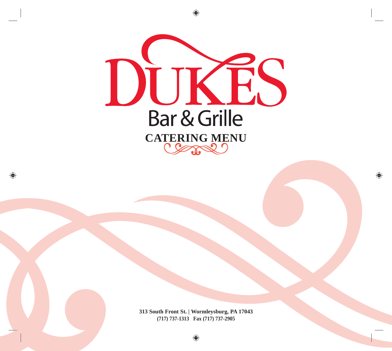

**313 South Front St. | Wormleysburg, PA 17043 (717) 737-1313 Fax (717) 737-2905**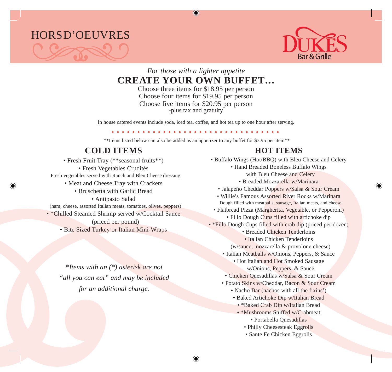



#### *For those with a lighter appetite* **CREATE YOUR OWN BUFFET…**

Choose three items for \$18.95 per person Choose four items for \$19.95 per person Choose five items for \$20.95 per person -plus tax and gratuity

In house catered events include soda, iced tea, coffee, and hot tea up to one hour after serving.

\*\*Items listed below can also be added as an appetizer to any buffet for \$3.95 per item\*\*

# **COLD ITEMS**

- Fresh Fruit Tray (\*\*seasonal fruits\*\*) • Fresh Vegetables Crudités Fresh vegetables served with Ranch and Bleu Cheese dressing
	- Meat and Cheese Tray with Crackers
		- Bruschetta with Garlic Bread
			- Antipasto Salad

(ham, cheese, assorted Italian meats, tomatoes, olives, peppers)

- \*Chilled Steamed Shrimp served w/Cocktail Sauce
	- (priced per pound)
	- Bite Sized Turkey or Italian Mini-Wraps

*\*Items with an (\*) asterisk are not "all you can eat" and may be included for an additional charge.*

# **HOT ITEMS**

- Buffalo Wings (Hot/BBQ) with Bleu Cheese and Celery
	- Hand Breaded Boneless Buffalo Wings with Bleu Cheese and Celery
		- Breaded Mozzarella w/Marinara
	- Jalapeño Cheddar Poppers w/Salsa & Sour Cream
	- Willie's Famous Assorted River Rocks w/Marinara Dough filled with meatballs, sausage, Italian meats, and cheese
	- Flatbread Pizza (Margherita, Vegetable, or Pepperoni)
		- Fillo Dough Cups filled with artichoke dip
- \*Fillo Dough Cups filled with crab dip (priced per dozen)
	- Breaded Chicken Tenderloins
	- Italian Chicken Tenderloins
	- (w/sauce, mozzarella & provolone cheese)
	- Italian Meatballs w/Onions, Peppers, & Sauce
		- Hot Italian and Hot Smoked Sausage w/Onions, Peppers, & Sauce
	- Chicken Quesadillas w/Salsa & Sour Cream
	- Potato Skins w/Cheddar, Bacon & Sour Cream
		- Nacho Bar (nachos with all the fixins')
		- Baked Artichoke Dip w/Italian Bread
			- \*Baked Crab Dip w/Italian Bread
			- \*Mushrooms Stuffed w/Crabmeat
				- Portabella Quesadillas
				- Philly Cheesesteak Eggrolls
				- Sante Fe Chicken Eggrolls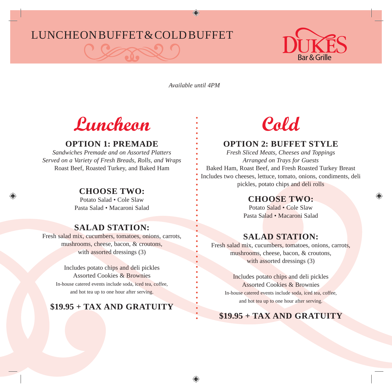# LUNCHEON BUFFET & COLD BUFFET



*Available until 4PM*

# **Luncheon**

# **OPTION 1: PREMADE**

*Sandwiches Premade and on Assorted Platters Served on a Variety of Fresh Breads, Rolls, and Wraps* Roast Beef, Roasted Turkey, and Baked Ham

### **CHOOSE TWO:**

Potato Salad • Cole Slaw Pasta Salad • Macaroni Salad

# **SALAD STATION:**

Fresh salad mix, cucumbers, tomatoes, onions, carrots, mushrooms, cheese, bacon, & croutons, with assorted dressings (3)

> Includes potato chips and deli pickles Assorted Cookies & Brownies In-house catered events include soda, iced tea, coffee, and hot tea up to one hour after serving.

### **\$19.95 + TAX AND GRATUITY**

# **Cold**

# **OPTION 2: BUFFET STYLE**

*Fresh Sliced Meats, Cheeses and Toppings Arranged on Trays for Guests* Baked Ham, Roast Beef, and Fresh Roasted Turkey Breast Includes two cheeses, lettuce, tomato, onions, condiments, deli pickles, potato chips and deli rolls

#### **CHOOSE TWO:**

Potato Salad • Cole Slaw Pasta Salad • Macaroni Salad

# **SALAD STATION:**

Fresh salad mix, cucumbers, tomatoes, onions, carrots, mushrooms, cheese, bacon, & croutons, with assorted dressings (3)

Includes potato chips and deli pickles Assorted Cookies & Brownies In-house catered events include soda, iced tea, coffee, and hot tea up to one hour after serving.

# **\$19.95 + TAX AND GRATUITY**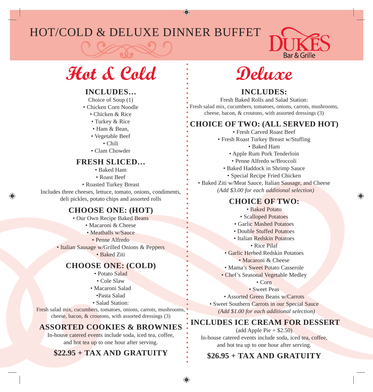# HOT/COLD & DELUXE DINNER BUFFET



# **Hot & Cold**

#### **INCLUDES…**

- Choice of Soup (1)
- Chicken Corn Noodle
	- Chicken & Rice
	- Turkey & Rice
	- Ham & Bean,
	- Vegetable Beef
		- Chili
	- Clam Chowder

#### **FRESH SLICED…**

- Baked Ham
- Roast Beef
- Roasted Turkey Breast

Includes three cheeses, lettuce, tomato, onions, condiments, deli pickles, potato chips and assorted rolls

#### **CHOOSE ONE: (HOT)**

- Our Own Recipe Baked Beans
	- Macaroni & Cheese
	- Meatballs w/Sauce
		- Penne Alfredo
- Italian Sausage w/Grilled Onions & Peppers
	- Baked Ziti

#### **CHOOSE ONE: (COLD)**

- Potato Salad
- Cole Slaw
- Macaroni Salad •Pasta Salad
- Salad Station:

Fresh salad mix, cucumbers, tomatoes, onions, carrots, mushrooms, cheese, bacon, & croutons, with assorted dressings (3)

# **ASSORTED COOKIES & BROWNIES**

In-house catered events include soda, iced tea, coffee, and hot tea up to one hour after serving.

# **\$22.95 + TAX AND GRATUITY**



#### **INCLUDES:**

Fresh Baked Rolls and Salad Station: Fresh salad mix, cucumbers, tomatoes, onions, carrots, mushrooms, cheese, bacon, & croutons, with assorted dressings (3)

#### **CHOICE OF TWO: (ALL SERVED HOT)**

- Fresh Carved Roast Beef
- Fresh Roast Turkey Breast w/Stuffing
	- Baked Ham
	- Apple Rum Pork Tenderloin
	- Penne Alfredo w/Broccoli
	- Baked Haddock in Shrimp Sauce
		- Special Recipe Fried Chicken

• Baked Ziti w/Meat Sauce, Italian Sausage, and Cheese  *(Add \$3.00 for each additional selection)*

#### **CHOICE OF TWO:**

- Baked Potato
- Scalloped Potatoes
- Garlic Mashed Potatoes
- Double Stuffed Potatoes
- Italian Redskin Potatoes
	- Rice Pilaf
- Garlic Herbed Redskin Potatoes
	- Macaroni & Cheese
- Mama's Sweet Potato Casserole
- Chef's Seasonal Vegetable Medley
	- Corn
	- Sweet Peas
- Assorted Green Beans w/Carrots
- Sweet Southern Carrots in our Special Sauce  *(Add \$1.00 for each additional selection)*

### **INCLUDES ICE CREAM FOR DESSERT**

 $(add Apple Pie + $2.50)$ In-house catered events include soda, iced tea, coffee, and hot tea up to one hour after serving.

# **\$26.95 + TAX AND GRATUITY**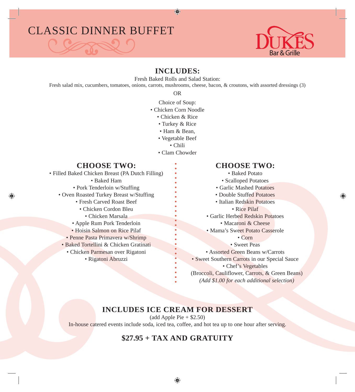# CLASSIC DINNER BUFFET

#### **INCLUDES:**

Fresh Baked Rolls and Salad Station:

Fresh salad mix, cucumbers, tomatoes, onions, carrots, mushrooms, cheese, bacon, & croutons, with assorted dressings (3)

OR

- Choice of Soup:
- Chicken Corn Noodle
	- Chicken & Rice
	- Turkey & Rice
	- Ham & Bean,
	- Vegetable Beef
		- Chili
	- Clam Chowder

# **CHOOSE TWO:**

• Filled Baked Chicken Breast (PA Dutch Filling) • Baked Ham • Pork Tenderloin w/Stuffing

- Oven Roasted Turkey Breast w/Stuffing
	- Fresh Carved Roast Beef
	- Chicken Cordon Bleu
		- Chicken Marsala
	- Apple Rum Pork Tenderloin
	- Hoisin Salmon on Rice Pilaf
	- Penne Pasta Primavera w/Shrimp
	- Baked Tortellini & Chicken Gratinati
	- Chicken Parmesan over Rigatoni
		- Rigatoni Abruzzi

# **CHOOSE TWO:**

- Baked Potato
- Scalloped Potatoes
- Garlic Mashed Potatoes
- Double Stuffed Potatoes
- Italian Redskin Potatoes

#### • Rice Pilaf

- Garlic Herbed Redskin Potatoes
	- Macaroni & Cheese
- Mama's Sweet Potato Casserole

• Corn

- Sweet Peas
- Assorted Green Beans w/Carrots
- Sweet Southern Carrots in our Special Sauce • Chef's Vegetables
- (Broccoli, Cauliflower, Carrots, & Green Beans)  *(Add \$1.00 for each additional selection)*

# **INCLUDES ICE CREAM FOR DESSERT**

 $(add Apple Pie + $2.50)$ In-house catered events include soda, iced tea, coffee, and hot tea up to one hour after serving.

# **\$27.95 + TAX AND GRATUITY**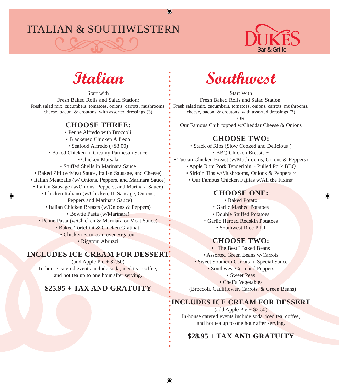# ITALIAN & SOUTHWESTERN





Start with Fresh Baked Rolls and Salad Station: Fresh salad mix, cucumbers, tomatoes, onions, carrots, mushrooms, cheese, bacon, & croutons, with assorted dressings (3)

#### **CHOOSE THREE:**

• Penne Alfredo with Broccoli

- Blackened Chicken Alfredo
- Seafood Alfredo (+\$3.00)
- Baked Chicken in Creamy Parmesan Sauce
	- Chicken Marsala
	- Stuffed Shells in Marinara Sauce
- Baked Ziti (w/Meat Sauce, Italian Sausage, and Cheese)
- Italian Meatballs (w/ Onions, Peppers, and Marinara Sauce)
- Italian Sausage (w/Onions, Peppers, and Marinara Sauce)
	- Chicken Italiano (w/Chicken, It. Sausage, Onions,
		- Peppers and Marinara Sauce)
		- Italian Chicken Breasts (w/Onions & Peppers)
			- Bowtie Pasta (w/Marinara)
	- Penne Pasta (w/Chicken & Marinara or Meat Sauce)
		- Baked Tortellini & Chicken Gratinati
			- Chicken Parmesan over Rigatoni
				- Rigatoni Abruzzi

#### **INCLUDES ICE CREAM FOR DESSERT**

 $\text{(add Apple Pie} + $2.50)$ In-house catered events include soda, iced tea, coffee, and hot tea up to one hour after serving.

# **\$25.95 + TAX AND GRATUITY**



Start With Fresh Baked Rolls and Salad Station: Fresh salad mix, cucumbers, tomatoes, onions, carrots, mushrooms, cheese, bacon, & croutons, with assorted dressings (3) OR

Our Famous Chili topped w/Cheddar Cheese & Onions

#### **CHOOSE TWO:**

• Stack of Ribs (Slow Cooked and Delicious!) • BBQ Chicken Breasts ~

- Tuscan Chicken Breast (w/Mushrooms, Onions & Peppers)
	- Apple Rum Pork Tenderloin ~ Pulled Pork BBQ
	- Sirloin Tips w/Mushrooms, Onions & Peppers ~
	- Our Famous Chicken Fajitas w/All the Fixins'

#### **CHOOSE ONE:**

- Baked Potato
- Garlic Mashed Potatoes
- Double Stuffed Potatoes
- Garlic Herbed Redskin Potatoes
	- Southwest Rice Pilaf

#### **CHOOSE TWO:**

- "The Best" Baked Beans
- Assorted Green Beans w/Carrots
- Sweet Southern Carrots in Special Sauce
	- Southwest Corn and Peppers

• Sweet Peas

• Chef's Vegetables

(Broccoli, Cauliflower, Carrots, & Green Beans)

#### **INCLUDES ICE CREAM FOR DESSERT**

 $(\text{add Apple Pie} + $2.50)$ In-house catered events include soda, iced tea, coffee, and hot tea up to one hour after serving.

# **\$28.95 + TAX AND GRATUITY**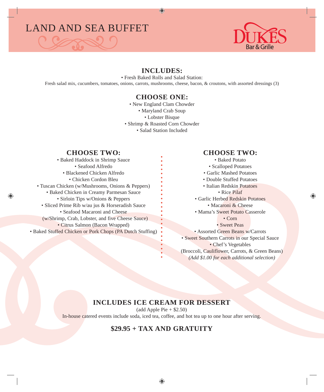# LAND AND SEA BUFFET





#### **INCLUDES:**

• Fresh Baked Rolls and Salad Station: Fresh salad mix, cucumbers, tomatoes, onions, carrots, mushrooms, cheese, bacon, & croutons, with assorted dressings (3)

#### **CHOOSE ONE:**

• New England Clam Chowder

- Maryland Crab Soup
	- Lobster Bisque
- Shrimp & Roasted Corn Chowder

• Salad Station Included

#### **CHOOSE TWO:**

• Baked Haddock in Shrimp Sauce • Seafood Alfredo • Blackened Chicken Alfredo • Chicken Cordon Bleu • Tuscan Chicken (w/Mushrooms, Onions & Peppers) • Baked Chicken in Creamy Parmesan Sauce • Sirloin Tips w/Onions & Peppers • Sliced Prime Rib w/au jus & Horseradish Sauce • Seafood Macaroni and Cheese (w/Shrimp, Crab, Lobster, and five Cheese Sauce) • Citrus Salmon (Bacon Wrapped) • Baked Stuffed Chicken or Pork Chops (PA Dutch Stuffing)

#### **CHOOSE TWO:**

• Baked Potato • Scalloped Potatoes • Garlic Mashed Potatoes • Double Stuffed Potatoes • Italian Redskin Potatoes • Rice Pilaf • Garlic Herbed Redskin Potatoes • Macaroni & Cheese • Mama's Sweet Potato Casserole • Corn • Sweet Peas • Assorted Green Beans w/Carrots • Sweet Southern Carrots in our Special Sauce • Chef's Vegetables (Broccoli, Cauliflower, Carrots, & Green Beans) *(Add \$1.00 for each additional selection)*

#### **INCLUDES ICE CREAM FOR DESSERT**

 $(add Apple Pie + $2.50)$ 

In-house catered events include soda, iced tea, coffee, and hot tea up to one hour after serving.

# **\$29.95 + TAX AND GRATUITY**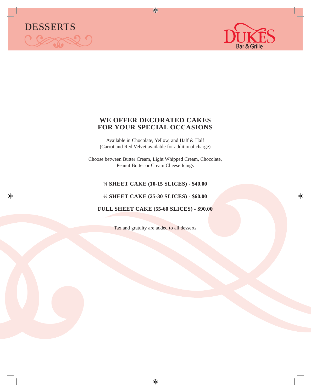



#### **WE OFFER DECORATED CAKES FOR YOUR SPECIAL OCCASIONS**

Available in Chocolate, Yellow, and Half & Half (Carrot and Red Velvet available for additional charge)

Choose between Butter Cream, Light Whipped Cream, Chocolate, Peanut Butter or Cream Cheese Icings

#### **¼ SHEET CAKE (10-15 SLICES) - \$40.00**

**½ SHEET CAKE (25-30 SLICES) - \$60.00**

**FULL SHEET CAKE (55-60 SLICES) - \$90.00**

Tax and gratuity are added to all desserts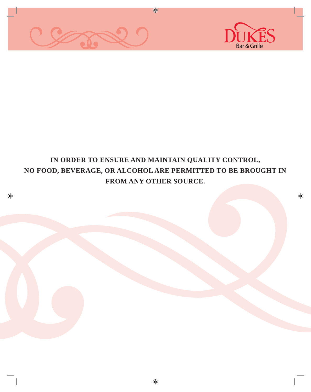



# **IN ORDER TO ENSURE AND MAINTAIN QUALITY CONTROL, NO FOOD, BEVERAGE, OR ALCOHOL ARE PERMITTED TO BE BROUGHT IN FROM ANY OTHER SOURCE.**

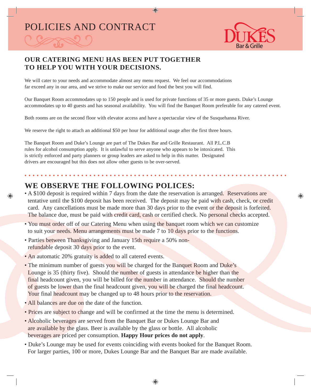# POLICIES AND CONTRACT

# **OUR CATERING MENU HAS BEEN PUT TOGETHER TO HELP YOU WITH YOUR DECISIONS.**

We will cater to your needs and accommodate almost any menu request. We feel our accommodations far exceed any in our area, and we strive to make our service and food the best you will find.

Our Banquet Room accommodates up to 150 people and is used for private functions of 35 or more guests. Duke's Lounge accommodates up to 40 guests and has seasonal availability. You will find the Banquet Room preferable for any catered event.

Both rooms are on the second floor with elevator access and have a spectacular view of the Susquehanna River.

We reserve the right to attach an additional \$50 per hour for additional usage after the first three hours.

The Banquet Room and Duke's Lounge are part of The Dukes Bar and Grille Restaurant. All P.L.C.B rules for alcohol consumption apply. It is unlawful to serve anyone who appears to be intoxicated. This is strictly enforced and party planners or group leaders are asked to help in this matter. Designated drivers are encouraged but this does not allow other guests to be over-served.

# **WE OBSERVE THE FOLLOWING POLICES:**

- A \$100 deposit is required within 7 days from the date the reservation is arranged. Reservations are tentative until the \$100 deposit has been received. The deposit may be paid with cash, check, or credit card. Any cancellations must be made more than 30 days prior to the event or the deposit is forfeited. The balance due, must be paid with credit card, cash or certified check. No personal checks accepted.
- You must order off of our Catering Menu when using the banquet room which we can customize to suit your needs. Menu arrangements must be made 7 to 10 days prior to the functions.
- Parties between Thanksgiving and January 15th require a 50% nonrefundable deposit 30 days prior to the event.
- An automatic 20% gratuity is added to all catered events.
- The minimum number of guests you will be charged for the Banquet Room and Duke's Lounge is 35 (thirty five). Should the number of guests in attendance be higher than the final headcount given, you will be billed for the number in attendance. Should the number of guests be lower than the final headcount given, you will be charged the final headcount. Your final headcount may be changed up to 48 hours prior to the reservation.
- All balances are due on the date of the function.
- Prices are subject to change and will be confirmed at the time the menu is determined.
- Alcoholic beverages are served from the Banquet Bar or Dukes Lounge Bar and are available by the glass. Beer is available by the glass or bottle. All alcoholic beverages are priced per consumption. **Happy Hour prices do not apply**.
- Duke's Lounge may be used for events coinciding with events booked for the Banquet Room. For larger parties, 100 or more, Dukes Lounge Bar and the Banquet Bar are made available.